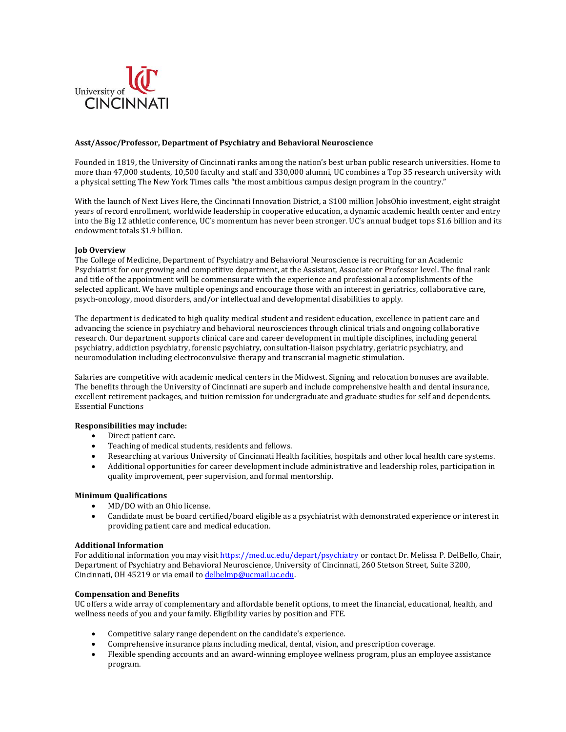

## **Asst/Assoc/Professor, Department of Psychiatry and Behavioral Neuroscience**

Founded in 1819, the University of Cincinnati ranks among the nation's best urban public research universities. Home to more than 47,000 students, 10,500 faculty and staff and 330,000 alumni, UC combines a Top 35 research university with a physical setting The New York Times calls "the most ambitious campus design program in the country."

With the launch of Next Lives Here, the Cincinnati Innovation District, a \$100 million JobsOhio investment, eight straight years of record enrollment, worldwide leadership in cooperative education, a dynamic academic health center and entry into the Big 12 athletic conference, UC's momentum has never been stronger. UC's annual budget tops \$1.6 billion and its endowment totals \$1.9 billion.

# **Job Overview**

The College of Medicine, Department of Psychiatry and Behavioral Neuroscience is recruiting for an Academic Psychiatrist for our growing and competitive department, at the Assistant, Associate or Professor level. The final rank and title of the appointment will be commensurate with the experience and professional accomplishments of the selected applicant. We have multiple openings and encourage those with an interest in geriatrics, collaborative care, psych-oncology, mood disorders, and/or intellectual and developmental disabilities to apply.

The department is dedicated to high quality medical student and resident education, excellence in patient care and advancing the science in psychiatry and behavioral neurosciences through clinical trials and ongoing collaborative research. Our department supports clinical care and career development in multiple disciplines, including general psychiatry, addiction psychiatry, forensic psychiatry, consultation-liaison psychiatry, geriatric psychiatry, and neuromodulation including electroconvulsive therapy and transcranial magnetic stimulation.

Salaries are competitive with academic medical centers in the Midwest. Signing and relocation bonuses are available. The benefits through the University of Cincinnati are superb and include comprehensive health and dental insurance, excellent retirement packages, and tuition remission for undergraduate and graduate studies for self and dependents. Essential Functions

# **Responsibilities may include:**

- Direct patient care.
- Teaching of medical students, residents and fellows.
- Researching at various University of Cincinnati Health facilities, hospitals and other local health care systems.
- Additional opportunities for career development include administrative and leadership roles, participation in quality improvement, peer supervision, and formal mentorship.

## **Minimum Qualifications**

- MD/DO with an Ohio license.
- Candidate must be board certified/board eligible as a psychiatrist with demonstrated experience or interest in providing patient care and medical education.

#### **Additional Information**

For additional information you may visi[t https://med.uc.edu/depart/psychiatry](https://med.uc.edu/depart/psychiatry) or contact Dr. Melissa P. DelBello, Chair, Department of Psychiatry and Behavioral Neuroscience, University of Cincinnati, 260 Stetson Street, Suite 3200, Cincinnati, OH 45219 or via email t[o delbelmp@ucmail.uc.edu.](mailto:delbelmp@ucmail.uc.edu)

### **Compensation and Benefits**

UC offers a wide array of complementary and affordable benefit options, to meet the financial, educational, health, and wellness needs of you and your family. Eligibility varies by position and FTE.

- Competitive salary range dependent on the candidate's experience.
- Comprehensive insurance plans including medical, dental, vision, and prescription coverage.
- Flexible spending accounts and an award-winning employee wellness program, plus an employee assistance program.